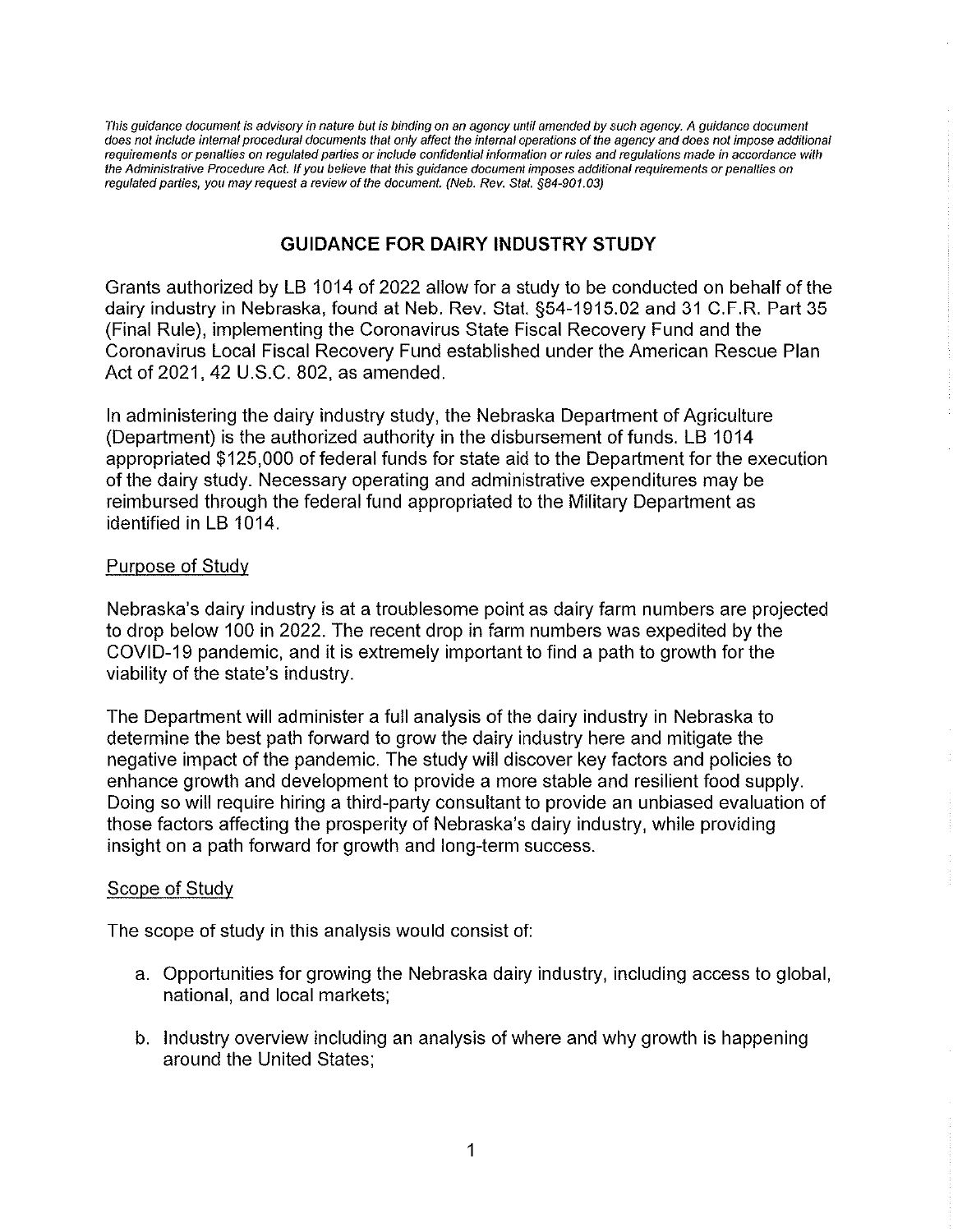This guidance document is advisory in nature but is binding on an agency until amended by such agency. A guidance document does not include interna! procedural documents that only affect the internal operations of the agency and does not impose additional requirements or penalties on regulated parties or include confidential information or rules and regulations made in accordance with the Administrative Procedure Act. If you believe that this guidance document imposes additional requirements or penalties on regulated parties, you may request a review of the document. (Neb. Rev. Stat. §84-901.03)

## GUIDANCE FOR DAIRY INDUSTRY STUDY

Grants authorized by LB 1014 of 2022 allow fora study to be conducted on behalf of the dairy industry in Nebraska, found at Neb. Rev. Stat. §54-1915.02 and 31 C.F.R. Part 35 (Finai Ru!e), implementing the Coronavirus State Fiscal Recovery Fund and the Coronavirus Local Fiscal Recovery Fund established under the American Rescue Plan Act of 2021, 42 U.S.C. 802, as amended.

In administering the dairy industry study, the Nebraska Department of Agriculture (Department) is the authorized authority in the disbursement of funds. LB 1014 appropriated \$125,000 of federal funds for state aid to the Department for the execution of the dairy study. Necessary operating and administrative expenditures may be reimbursed through the federal fund appropriated to the Military Department as identified in LB 1014.

## Purpose of Study

Nebraska's dairy industry is at a troublesome point as dairy farm numbers are projected to drop below 100 in 2022. The recent drop in farm numbers was expedited by the COVID-19 pandemic, and it is extremely important to find a path to growth for the viability of the state's industry.

The Department will administer a full analysis of the dairy industry in Nebraska to determine the best path forward to grow the dairy industry here and mitigate the negative impact of the pandemic. The study will discover key factors and policies to enhance growth and development to provide a more stable and resilient food supply. Doing so will require hiring a third-party consultant to provide an unbiased evaluation of those factors affecting the prosperity of Nebraska's dairy industry, while providing insight on a path forward for growth and long-term success.

## Scope of Study

The scope of study in this analysis would consist of:

- a. Opportunities for growing the Nebraska dairy industry, including access to global, national, and local markets;
- b. Industry overview including an analysis of where and why growth is happening around the United States;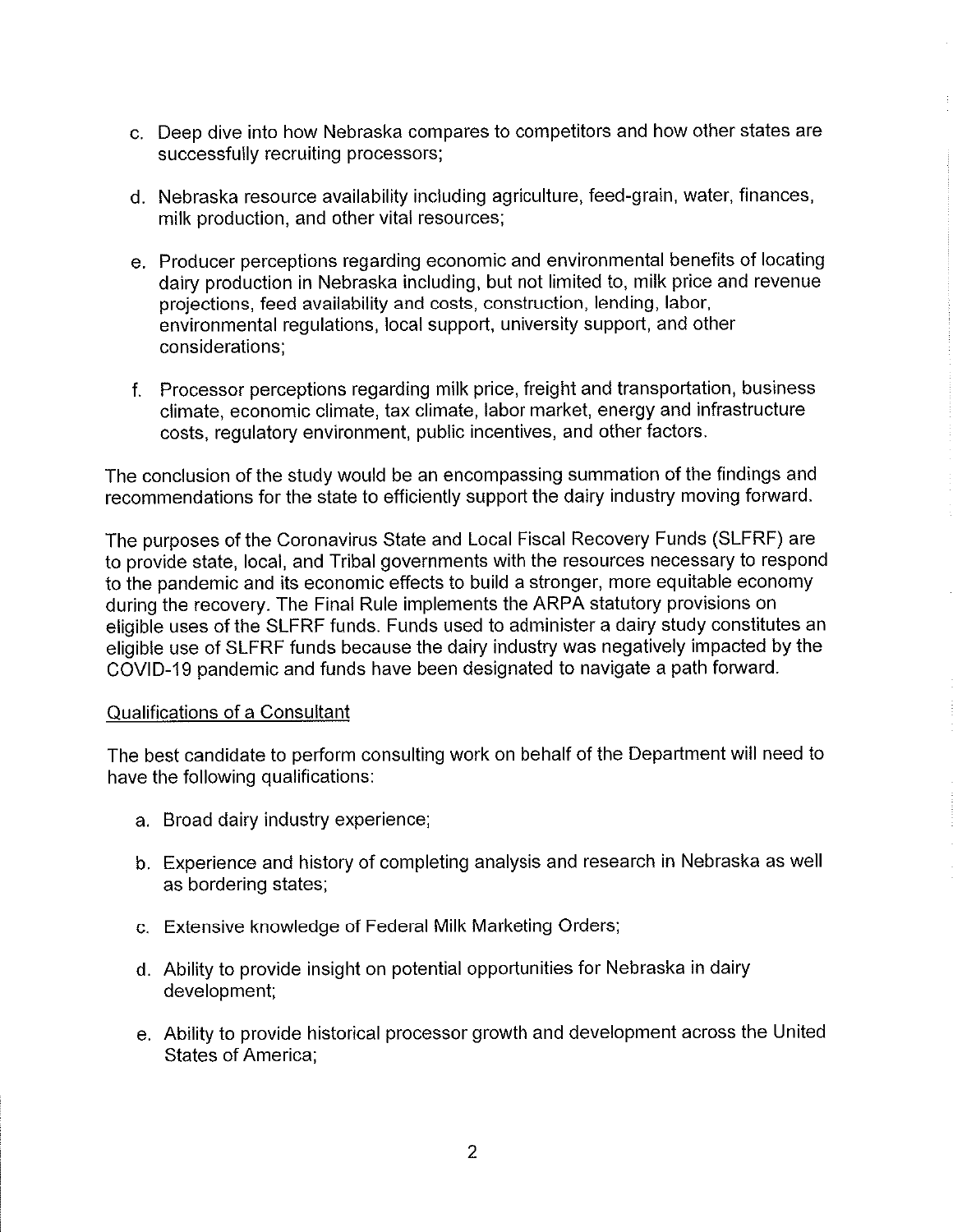- c. Deep dive into how Nebraska compares to competitors and how other states are successfully recruiting processors;
- d. Nebraska resource availability including agriculture, feed-grain, water, finances, milk production, and other vital resources;
- e. Producer perceptions regarding economic and environmental benefits of locating dairy production in Nebraska including, but not limited to, mi!k price and revenue projections, feed availability and costs, construction, lending, labor, environmental regulations, local support, university support, and other considerations;
- f. Processor perceptions regarding milk price, freight and transportation, business climate, economic climate, tax climate, labor market, energy and infrastructure costs, regulatory environment, public incentives, and other factors.

The conclusion of the study would be an encompassing summation of the findings and recommendations for the state to efficiently support the dairy industry moving forward.

The purposes of the Coronavirus State and Local Fiscal Recovery Funds (SLFRF) are to provide state, local, and Tribal governments with the resources necessary to respond to the pandemic and its economic effects to build a stronger, more equitable economy during the recovery. The Fina! Rule implements the ARPA statutory provisions on eligible uses of the SLFRF funds. Funds used to administer a dairy study constitutes an eligible use of SLFRF funds because the dairy industry was negatively impacted by the COVID-19 pandemlc and funds have been designated to navigate a path forward.

## Qualifications of a Consultant

The best candidate to perform consulting work on behalf of the Department will need to have the following qualifications:

- a. Broad dairy industry experience;
- b. Experience and history of completing analysis and research in Nebraska as well as bordering states;
- c. Extensive knowledge of Federal Milk Marketing Orders;
- d. Ability to provide insight on potential opportunities for Nebraska in dairy development;
- e. Ability to provide historical processor growth and development across the United States of America;